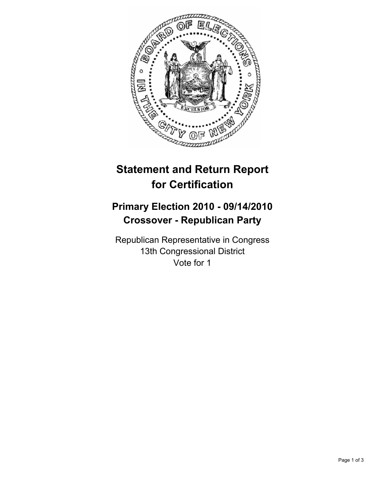

# **Statement and Return Report for Certification**

## **Primary Election 2010 - 09/14/2010 Crossover - Republican Party**

Republican Representative in Congress 13th Congressional District Vote for 1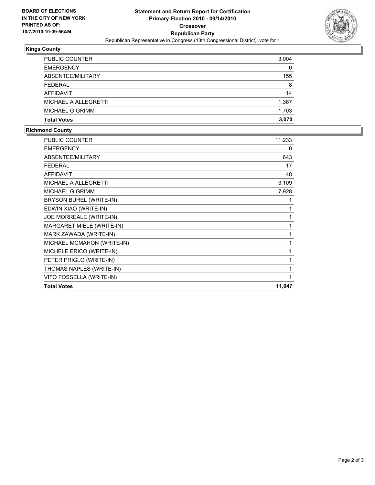

### **Kings County**

| <b>PUBLIC COUNTER</b>       | 3,004 |
|-----------------------------|-------|
| <b>EMERGENCY</b>            | 0     |
| ABSENTEE/MILITARY           | 155   |
| <b>FEDERAL</b>              | 8     |
| AFFIDAVIT                   | 14    |
| <b>MICHAEL A ALLEGRETTI</b> | 1,367 |
| MICHAEL G GRIMM             | 1,703 |
| <b>Total Votes</b>          | 3.070 |

#### **Richmond County**

| <b>PUBLIC COUNTER</b>      | 11,233 |
|----------------------------|--------|
| <b>EMERGENCY</b>           | 0      |
| ABSENTEE/MILITARY          | 643    |
| <b>FEDERAL</b>             | 17     |
| <b>AFFIDAVIT</b>           | 48     |
| MICHAEL A ALLEGRETTI       | 3,109  |
| <b>MICHAEL G GRIMM</b>     | 7,928  |
| BRYSON BUREL (WRITE-IN)    |        |
| EDWIN XIAO (WRITE-IN)      |        |
| JOE MORREALE (WRITE-IN)    |        |
| MARGARET MIELE (WRITE-IN)  |        |
| MARK ZAWADA (WRITE-IN)     |        |
| MICHAEL MCMAHON (WRITE-IN) | 1      |
| MICHELE ERICO (WRITE-IN)   | 1      |
| PETER PRIGLO (WRITE-IN)    |        |
| THOMAS NAPLES (WRITE-IN)   | 1      |
| VITO FOSSELLA (WRITE-IN)   | 1      |
| <b>Total Votes</b>         | 11,047 |